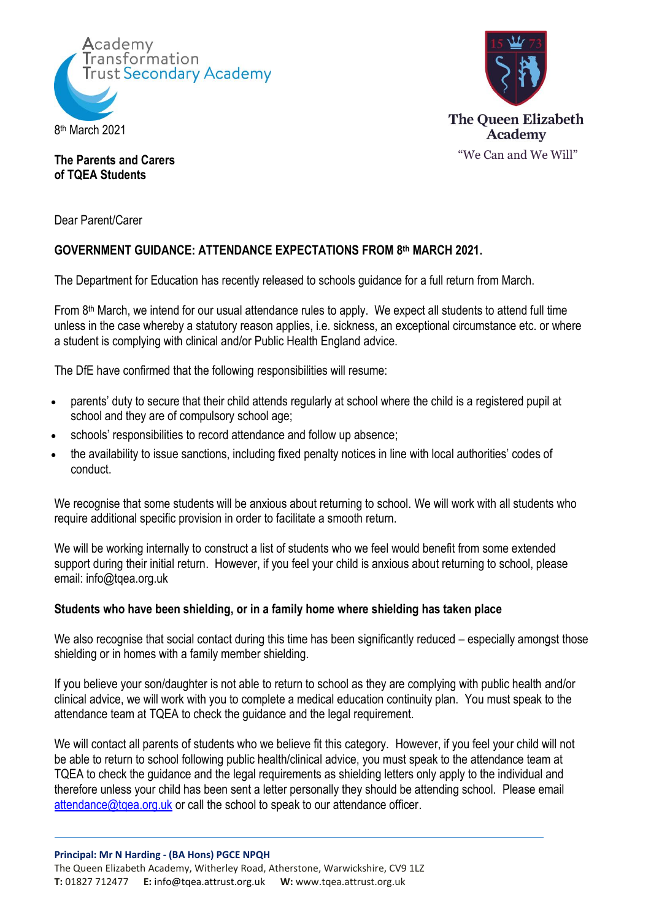



# **The Parents and Carers of TQEA Students**

Dear Parent/Carer

# **GOVERNMENT GUIDANCE: ATTENDANCE EXPECTATIONS FROM 8 th MARCH 2021.**

The Department for Education has recently released to schools guidance for a full return from March.

From 8<sup>th</sup> March, we intend for our usual attendance rules to apply. We expect all students to attend full time unless in the case whereby a statutory reason applies, i.e. sickness, an exceptional circumstance etc. or where a student is complying with clinical and/or Public Health England advice.

The DfE have confirmed that the following responsibilities will resume:

- parents' duty to secure that their child attends regularly at school where the child is a registered pupil at school and they are of compulsory school age;
- schools' responsibilities to record attendance and follow up absence;
- the availability to issue sanctions, including fixed penalty notices in line with local authorities' codes of conduct.

We recognise that some students will be anxious about returning to school. We will work with all students who require additional specific provision in order to facilitate a smooth return.

We will be working internally to construct a list of students who we feel would benefit from some extended support during their initial return. However, if you feel your child is anxious about returning to school, please email: info@tqea.org.uk

## **Students who have been shielding, or in a family home where shielding has taken place**

We also recognise that social contact during this time has been significantly reduced – especially amongst those shielding or in homes with a family member shielding.

If you believe your son/daughter is not able to return to school as they are complying with public health and/or clinical advice, we will work with you to complete a medical education continuity plan. You must speak to the attendance team at TQEA to check the guidance and the legal requirement.

We will contact all parents of students who we believe fit this category. However, if you feel your child will not be able to return to school following public health/clinical advice, you must speak to the attendance team at TQEA to check the guidance and the legal requirements as shielding letters only apply to the individual and therefore unless your child has been sent a letter personally they should be attending school. Please email [attendance@tqea.org.uk](mailto:attendance@tqea.org.uk) or call the school to speak to our attendance officer.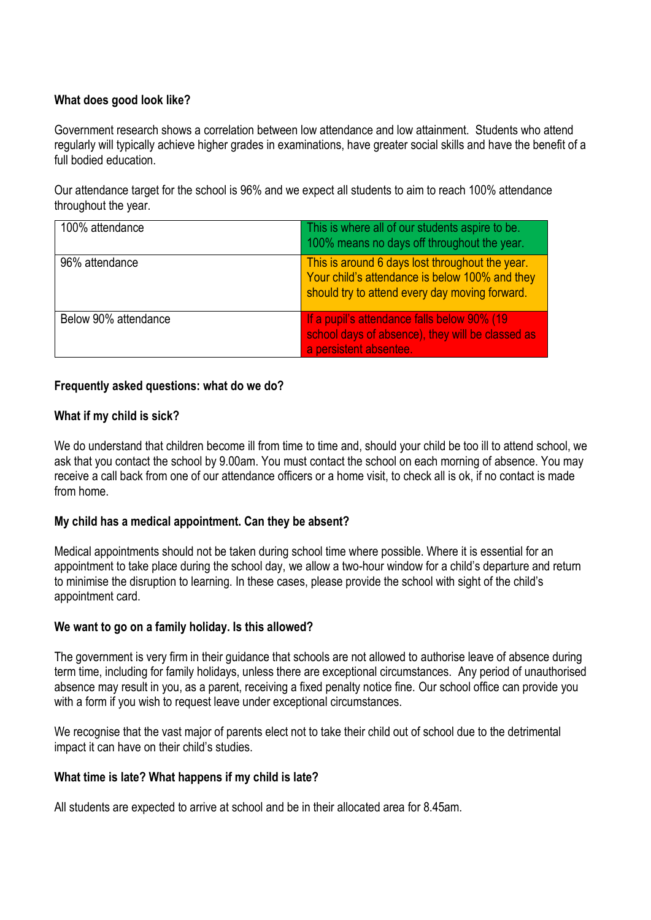# **What does good look like?**

Government research shows a correlation between low attendance and low attainment. Students who attend regularly will typically achieve higher grades in examinations, have greater social skills and have the benefit of a full bodied education

Our attendance target for the school is 96% and we expect all students to aim to reach 100% attendance throughout the year.

| 100% attendance      | This is where all of our students aspire to be.<br>100% means no days off throughout the year.                                                      |
|----------------------|-----------------------------------------------------------------------------------------------------------------------------------------------------|
| 96% attendance       | This is around 6 days lost throughout the year.<br>Your child's attendance is below 100% and they<br>should try to attend every day moving forward. |
| Below 90% attendance | If a pupil's attendance falls below 90% (19)<br>school days of absence), they will be classed as<br>a persistent absentee.                          |

## **Frequently asked questions: what do we do?**

## **What if my child is sick?**

We do understand that children become ill from time to time and, should your child be too ill to attend school, we ask that you contact the school by 9.00am. You must contact the school on each morning of absence. You may receive a call back from one of our attendance officers or a home visit, to check all is ok, if no contact is made from home.

## **My child has a medical appointment. Can they be absent?**

Medical appointments should not be taken during school time where possible. Where it is essential for an appointment to take place during the school day, we allow a two-hour window for a child's departure and return to minimise the disruption to learning. In these cases, please provide the school with sight of the child's appointment card.

#### **We want to go on a family holiday. Is this allowed?**

The government is very firm in their guidance that schools are not allowed to authorise leave of absence during term time, including for family holidays, unless there are exceptional circumstances. Any period of unauthorised absence may result in you, as a parent, receiving a fixed penalty notice fine. Our school office can provide you with a form if you wish to request leave under exceptional circumstances.

We recognise that the vast major of parents elect not to take their child out of school due to the detrimental impact it can have on their child's studies.

#### **What time is late? What happens if my child is late?**

All students are expected to arrive at school and be in their allocated area for 8.45am.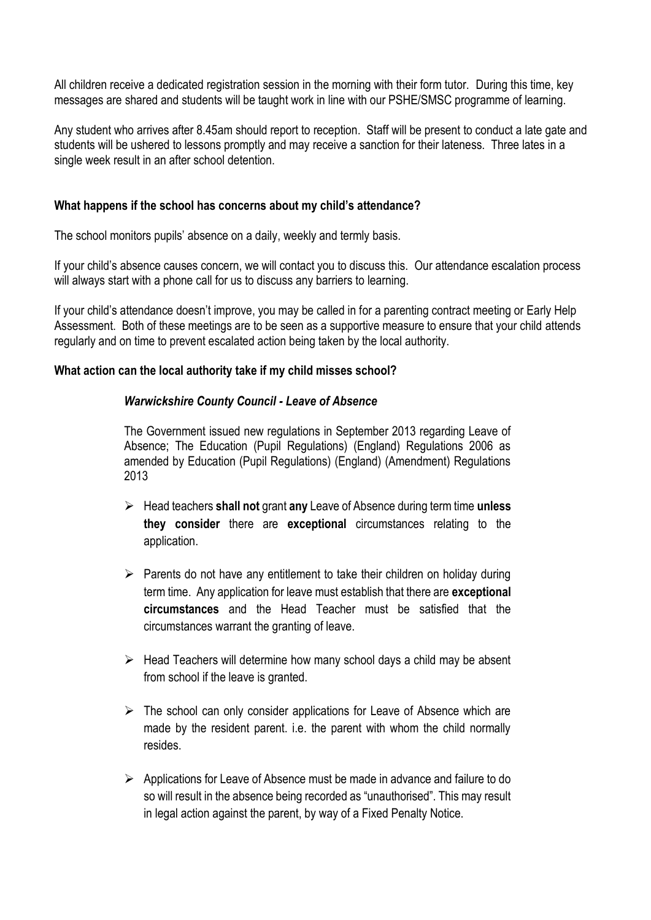All children receive a dedicated registration session in the morning with their form tutor. During this time, key messages are shared and students will be taught work in line with our PSHE/SMSC programme of learning.

Any student who arrives after 8.45am should report to reception. Staff will be present to conduct a late gate and students will be ushered to lessons promptly and may receive a sanction for their lateness. Three lates in a single week result in an after school detention.

### **What happens if the school has concerns about my child's attendance?**

The school monitors pupils' absence on a daily, weekly and termly basis.

If your child's absence causes concern, we will contact you to discuss this. Our attendance escalation process will always start with a phone call for us to discuss any barriers to learning.

If your child's attendance doesn't improve, you may be called in for a parenting contract meeting or Early Help Assessment. Both of these meetings are to be seen as a supportive measure to ensure that your child attends regularly and on time to prevent escalated action being taken by the local authority.

### **What action can the local authority take if my child misses school?**

### *Warwickshire County Council - Leave of Absence*

The Government issued new regulations in September 2013 regarding Leave of Absence; The Education (Pupil Regulations) (England) Regulations 2006 as amended by Education (Pupil Regulations) (England) (Amendment) Regulations 2013

- Head teachers **shall not** grant **any** Leave of Absence during term time **unless they consider** there are **exceptional** circumstances relating to the application.
- $\triangleright$  Parents do not have any entitlement to take their children on holiday during term time. Any application for leave must establish that there are **exceptional circumstances** and the Head Teacher must be satisfied that the circumstances warrant the granting of leave.
- $\triangleright$  Head Teachers will determine how many school days a child may be absent from school if the leave is granted.
- $\triangleright$  The school can only consider applications for Leave of Absence which are made by the resident parent. i.e. the parent with whom the child normally resides.
- $\triangleright$  Applications for Leave of Absence must be made in advance and failure to do so will result in the absence being recorded as "unauthorised". This may result in legal action against the parent, by way of a Fixed Penalty Notice.